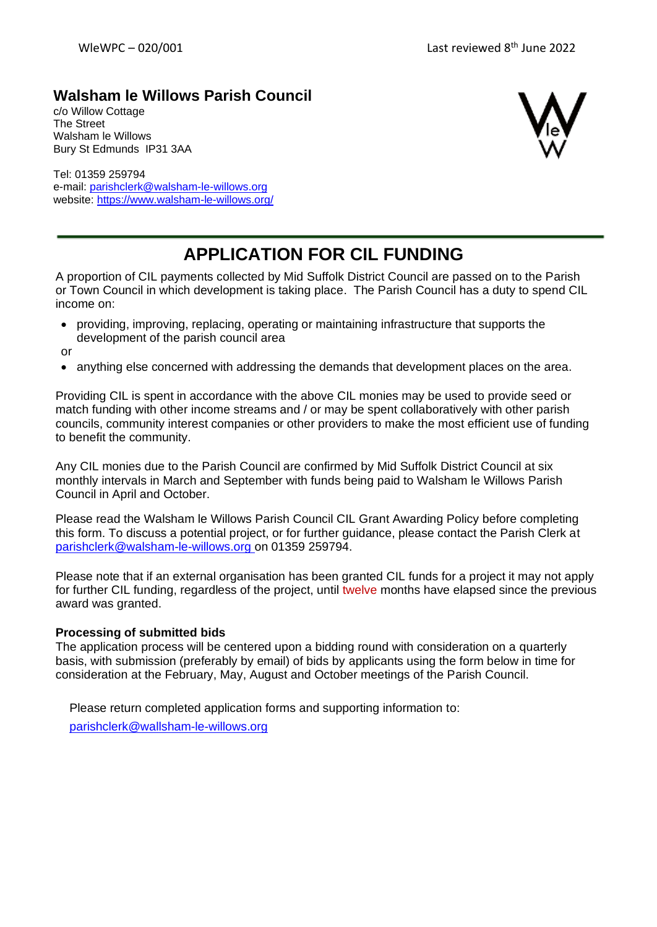## **Walsham le Willows Parish Council**

c/o Willow Cottage The Street Walsham le Willows Bury St Edmunds IP31 3AA

Tel: 01359 259794 e-mail: [parishclerk@w](mailto:parishclerk@)alsham-le-willows.org website: <https://www.walsham-le-willows.org/>



## **APPLICATION FOR CIL FUNDING**

A proportion of CIL payments collected by Mid Suffolk District Council are passed on to the Parish or Town Council in which development is taking place. The Parish Council has a duty to spend CIL income on:

- providing, improving, replacing, operating or maintaining infrastructure that supports the development of the parish council area
- or
- anything else concerned with addressing the demands that development places on the area.

Providing CIL is spent in accordance with the above CIL monies may be used to provide seed or match funding with other income streams and / or may be spent collaboratively with other parish councils, community interest companies or other providers to make the most efficient use of funding to benefit the community.

Any CIL monies due to the Parish Council are confirmed by Mid Suffolk District Council at six monthly intervals in March and September with funds being paid to Walsham le Willows Parish Council in April and October.

Please read the Walsham le Willows Parish Council CIL Grant Awarding Policy before completing this form. To discuss a potential project, or for further guidance, please contact the Parish Clerk at [parishclerk@walsham-le-willows.org o](mailto:parishclerk@walsham-le-willows.org)n 01359 259794.

Please note that if an external organisation has been granted CIL funds for a project it may not apply for further CIL funding, regardless of the project, until twelve months have elapsed since the previous award was granted.

## **Processing of submitted bids**

The application process will be centered upon a bidding round with consideration on a quarterly basis, with submission (preferably by email) of bids by applicants using the form below in time for consideration at the February, May, August and October meetings of the Parish Council.

Please return completed application forms and supporting information to: [parishclerk@wallsham-le-willows.org](mailto:parishclerk@wallsham-le-willows.org)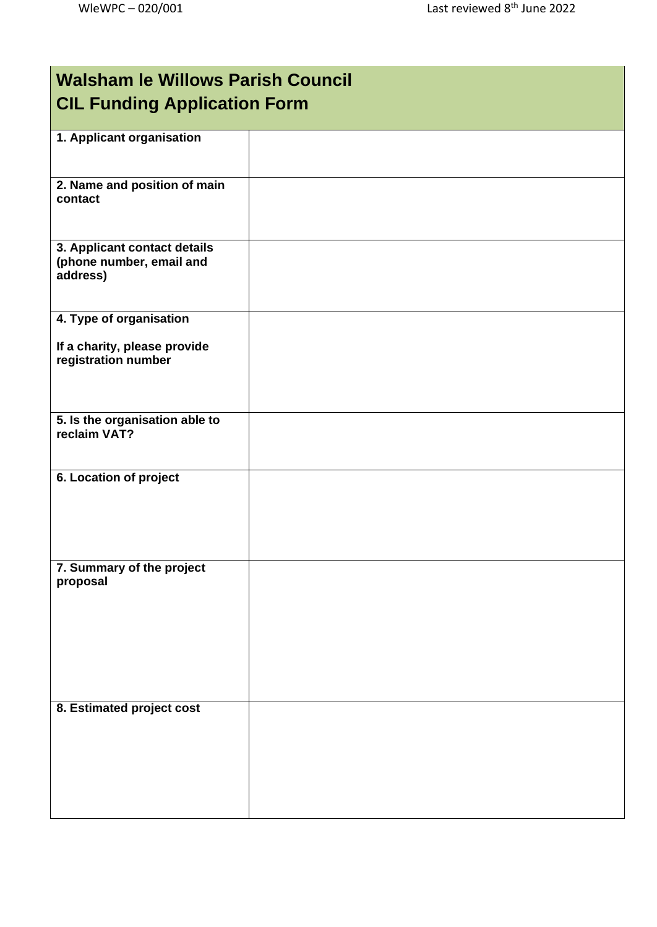| <b>Walsham le Willows Parish Council</b><br><b>CIL Funding Application Form</b> |  |  |
|---------------------------------------------------------------------------------|--|--|
| 1. Applicant organisation                                                       |  |  |
| 2. Name and position of main<br>contact                                         |  |  |
| 3. Applicant contact details<br>(phone number, email and<br>address)            |  |  |
| 4. Type of organisation<br>If a charity, please provide<br>registration number  |  |  |
| 5. Is the organisation able to<br>reclaim VAT?                                  |  |  |
| 6. Location of project                                                          |  |  |
| 7. Summary of the project<br>proposal                                           |  |  |
| 8. Estimated project cost                                                       |  |  |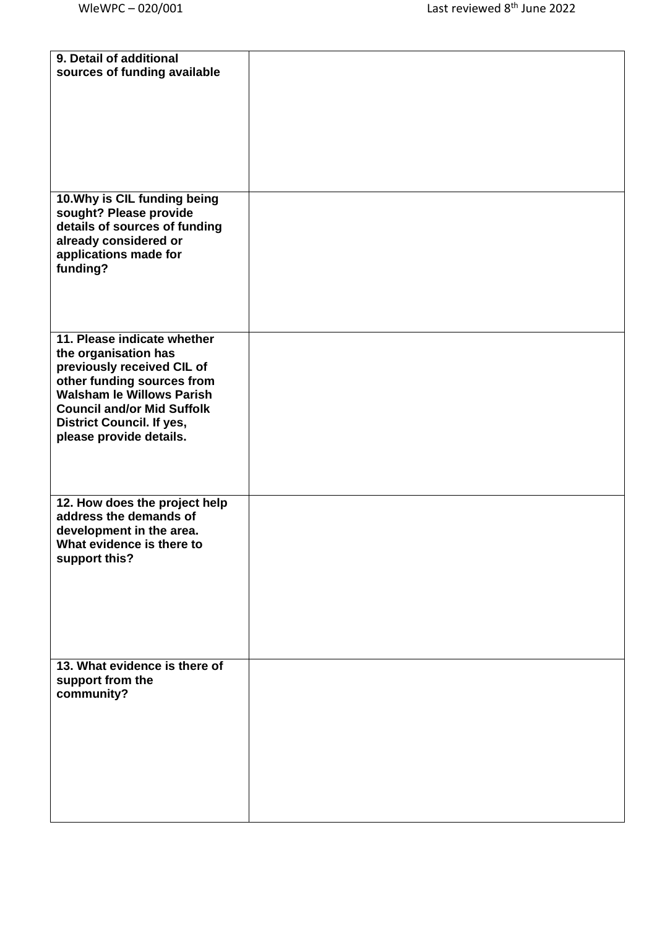| 9. Detail of additional                                 |  |
|---------------------------------------------------------|--|
| sources of funding available                            |  |
|                                                         |  |
|                                                         |  |
|                                                         |  |
|                                                         |  |
|                                                         |  |
|                                                         |  |
|                                                         |  |
|                                                         |  |
| 10. Why is CIL funding being                            |  |
| sought? Please provide<br>details of sources of funding |  |
| already considered or                                   |  |
| applications made for                                   |  |
| funding?                                                |  |
|                                                         |  |
|                                                         |  |
|                                                         |  |
|                                                         |  |
| 11. Please indicate whether                             |  |
| the organisation has                                    |  |
| previously received CIL of                              |  |
| other funding sources from                              |  |
| <b>Walsham le Willows Parish</b>                        |  |
| <b>Council and/or Mid Suffolk</b>                       |  |
| <b>District Council. If yes,</b>                        |  |
| please provide details.                                 |  |
|                                                         |  |
|                                                         |  |
|                                                         |  |
| 12. How does the project help                           |  |
| address the demands of                                  |  |
| development in the area.                                |  |
| What evidence is there to                               |  |
| support this?                                           |  |
|                                                         |  |
|                                                         |  |
|                                                         |  |
|                                                         |  |
|                                                         |  |
|                                                         |  |
| 13. What evidence is there of                           |  |
| support from the                                        |  |
| community?                                              |  |
|                                                         |  |
|                                                         |  |
|                                                         |  |
|                                                         |  |
|                                                         |  |
|                                                         |  |
|                                                         |  |
|                                                         |  |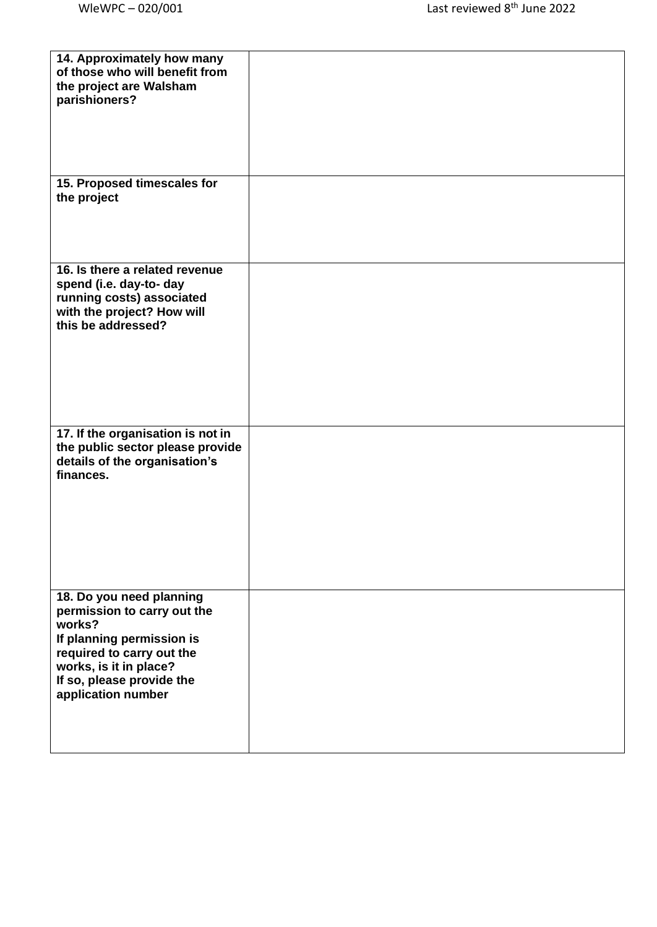| 14. Approximately how many<br>of those who will benefit from<br>the project are Walsham<br>parishioners?                                                                                                 |  |
|----------------------------------------------------------------------------------------------------------------------------------------------------------------------------------------------------------|--|
| 15. Proposed timescales for<br>the project                                                                                                                                                               |  |
| 16. Is there a related revenue<br>spend (i.e. day-to- day<br>running costs) associated<br>with the project? How will<br>this be addressed?                                                               |  |
| 17. If the organisation is not in<br>the public sector please provide<br>details of the organisation's<br>finances.                                                                                      |  |
| 18. Do you need planning<br>permission to carry out the<br>works?<br>If planning permission is<br>required to carry out the<br>works, is it in place?<br>If so, please provide the<br>application number |  |